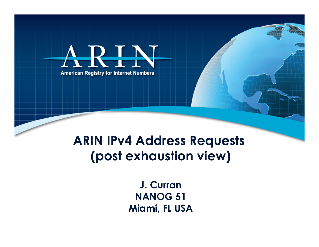

**ARIN IPv4 Address Requests (post exhaustion view)** 

> **J. Curran NANOG 51 Miami, FL USA**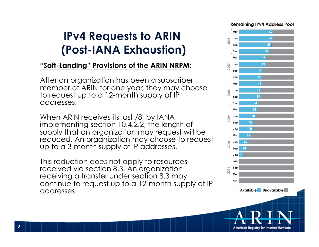### **IPv4 Requests to ARIN (Post-IANA Exhaustion)**

#### **"Soft-Landing" Provisions of the ARIN NRPM:**

After an organization has been a subscriber member of ARIN for one year, they may choose to request up to a 12-month supply of IP addresses.

When ARIN receives its last /8, by IANA implementing section 10.4.2.2, the length of supply that an organization may request will be reduced. An organization may choose to request up to a 3-month supply of IP addresses.

This reduction does not apply to resources received via section 8.3. An organization receiving a transfer under section 8.3 may continue to request up to a 12-month supply of IP addresses.

**2** 



American Registry for Internet Numbers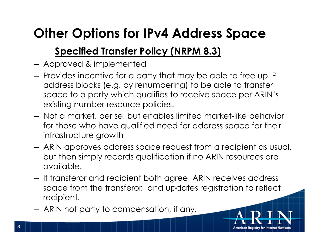## **Other Options for IPv4 Address Space**

### **Specified Transfer Policy (NRPM 8.3)**

- Approved & implemented
- Provides incentive for a party that may be able to free up IP address blocks (e.g. by renumbering) to be able to transfer space to a party which qualifies to receive space per ARIN's existing number resource policies.
- Not a market, per se, but enables limited market-like behavior for those who have qualified need for address space for their infrastructure growth
- ARIN approves address space request from a recipient as usual, but then simply records qualification if no ARIN resources are available.
- If transferor and recipient both agree, ARIN receives address space from the transferor, and updates registration to reflect recipient.
- ARIN not party to compensation, if any.

**3**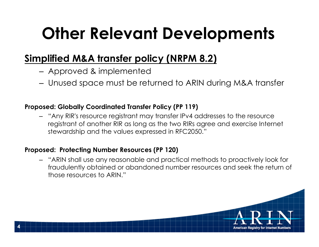# **Other Relevant Developments**

### **Simplified M&A transfer policy (NRPM 8.2)**

- Approved & implemented
- Unused space must be returned to ARIN during M&A transfer

#### **Proposed: Globally Coordinated Transfer Policy (PP 119)**

– "Any RIR's resource registrant may transfer IPv4 addresses to the resource registrant of another RIR as long as the two RIRs agree and exercise Internet stewardship and the values expressed in RFC2050."

#### **Proposed: Protecting Number Resources (PP 120)**

– "ARIN shall use any reasonable and practical methods to proactively look for fraudulently obtained or abandoned number resources and seek the return of those resources to ARIN."

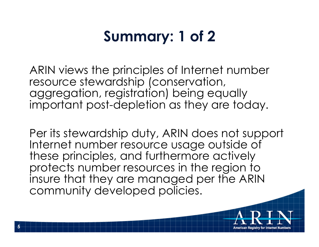## **Summary: 1 of 2**

ARIN views the principles of Internet number resource stewardship (conservation, aggregation, registration) being equally important post-depletion as they are today.

Per its stewardship duty, ARIN does not support Internet number resource usage outside of these principles, and furthermore actively protects number resources in the region to insure that they are managed per the ARIN community developed policies.

**5**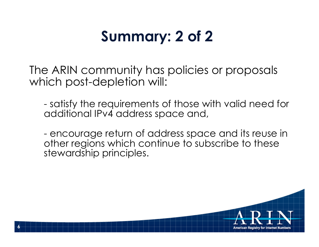## **Summary: 2 of 2**

The ARIN community has policies or proposals which post-depletion will:

- satisfy the requirements of those with valid need for additional IPv4 address space and,

- encourage return of address space and its reuse in other regions which continue to subscribe to these stewardship principles.